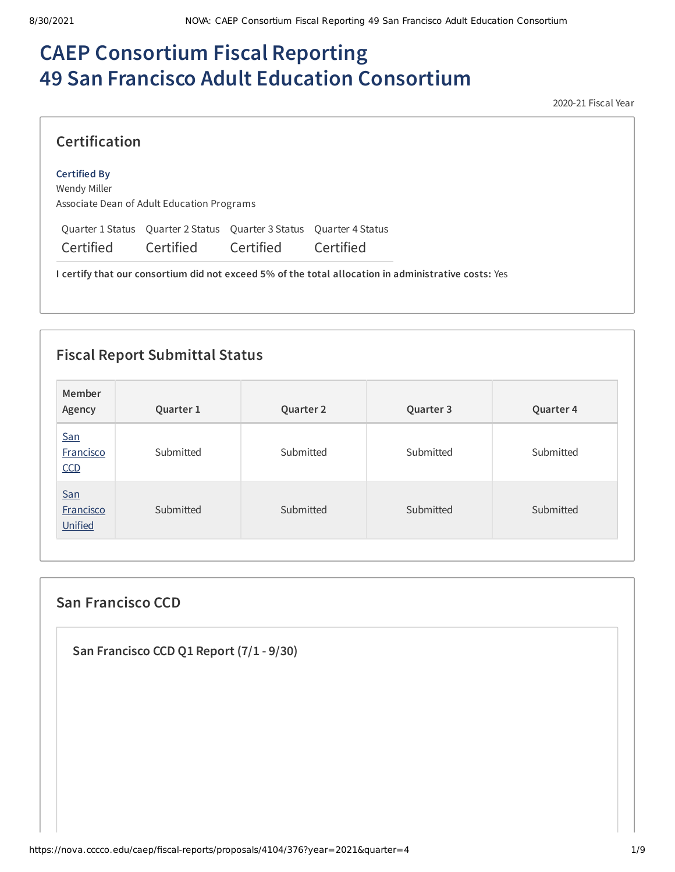# **CAEP Consortium Fiscal Reporting 49 San Francisco Adult Education Consortium**

2020-21 Fiscal Year

# **Certification**

#### **Certified By**

Wendy Miller Associate Dean of Adult Education Programs

Quarter 1 Status Quarter 2 Status Quarter 3 Status Quarter 4 Status

Certified Certified Certified Certified

**I certify that our consortium did not exceed 5% of the total allocation in administrative costs:** Yes

# **Fiscal Report Submittal Status**

| Member<br>Agency               | Quarter 1 | Quarter 2 | Quarter 3 | Quarter 4 |
|--------------------------------|-----------|-----------|-----------|-----------|
| <b>San</b><br>Francisco<br>CCD | Submitted | Submitted | Submitted | Submitted |
| San<br>Francisco<br>Unified    | Submitted | Submitted | Submitted | Submitted |

# **San Francisco CCD**

**San Francisco CCD Q1 Report (7/1 - 9/30)**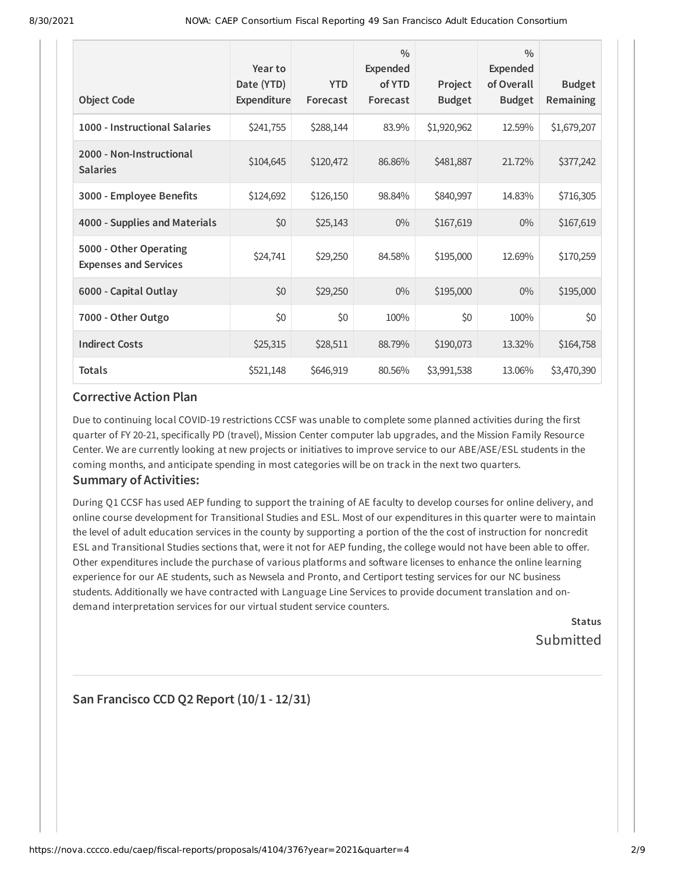| <b>Object Code</b>                                     | Year to<br>Date (YTD)<br>Expenditure | <b>YTD</b><br>Forecast | $\frac{0}{0}$<br>Expended<br>of YTD<br>Forecast | Project<br><b>Budget</b> | $\frac{0}{0}$<br><b>Expended</b><br>of Overall<br><b>Budget</b> | <b>Budget</b><br>Remaining |
|--------------------------------------------------------|--------------------------------------|------------------------|-------------------------------------------------|--------------------------|-----------------------------------------------------------------|----------------------------|
| 1000 - Instructional Salaries                          | \$241,755                            | \$288,144              | 83.9%                                           | \$1,920,962              | 12.59%                                                          | \$1,679,207                |
| 2000 - Non-Instructional<br><b>Salaries</b>            | \$104,645                            | \$120,472              | 86.86%                                          | \$481,887                | 21.72%                                                          | \$377,242                  |
| 3000 - Employee Benefits                               | \$124,692                            | \$126,150              | 98.84%                                          | \$840,997                | 14.83%                                                          | \$716,305                  |
| 4000 - Supplies and Materials                          | \$0                                  | \$25,143               | $0\%$                                           | \$167,619                | $0\%$                                                           | \$167,619                  |
| 5000 - Other Operating<br><b>Expenses and Services</b> | \$24,741                             | \$29,250               | 84.58%                                          | \$195,000                | 12.69%                                                          | \$170,259                  |
| 6000 - Capital Outlay                                  | \$0                                  | \$29,250               | $0\%$                                           | \$195,000                | $0\%$                                                           | \$195,000                  |
| 7000 - Other Outgo                                     | \$0                                  | \$0                    | 100%                                            | \$0                      | 100%                                                            | \$0                        |
| <b>Indirect Costs</b>                                  | \$25,315                             | \$28,511               | 88.79%                                          | \$190,073                | 13.32%                                                          | \$164,758                  |
| <b>Totals</b>                                          | \$521,148                            | \$646,919              | 80.56%                                          | \$3,991,538              | 13.06%                                                          | \$3,470,390                |

#### **Corrective Action Plan**

Due to continuing local COVID-19 restrictions CCSF was unable to complete some planned activities during the first quarter of FY 20-21, specifically PD (travel), Mission Center computer lab upgrades, and the Mission Family Resource Center. We are currently looking at new projects or initiatives to improve service to our ABE/ASE/ESL students in the coming months, and anticipate spending in most categories will be on track in the next two quarters.

## **Summary of Activities:**

During Q1 CCSF has used AEP funding to support the training of AE faculty to develop courses for online delivery, and online course development for Transitional Studies and ESL. Most of our expenditures in this quarter were to maintain the level of adult education services in the county by supporting a portion of the the cost of instruction for noncredit ESL and Transitional Studies sections that, were it not for AEP funding, the college would not have been able to offer. Other expenditures include the purchase of various platforms and software licenses to enhance the online learning experience for our AE students, such as Newsela and Pronto, and Certiport testing services for our NC business students. Additionally we have contracted with Language Line Services to provide document translation and ondemand interpretation services for our virtual student service counters.

> **Status** Submitted

# **San Francisco CCD Q2 Report (10/1 - 12/31)**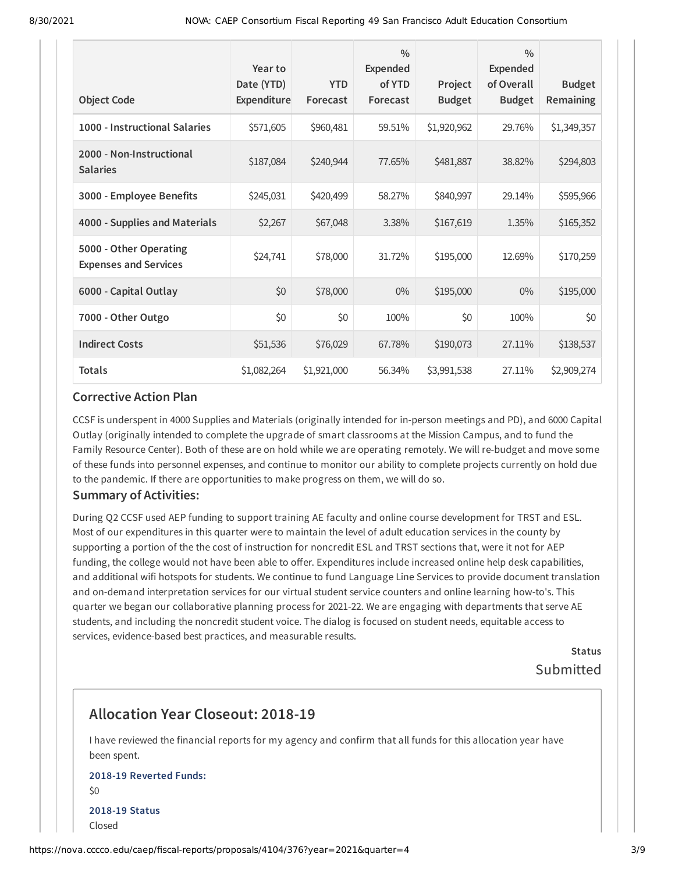| <b>Object Code</b>                                     | Year to<br>Date (YTD)<br>Expenditure | <b>YTD</b><br>Forecast | $\frac{0}{0}$<br><b>Expended</b><br>of YTD<br>Forecast | Project<br><b>Budget</b> | $\frac{0}{0}$<br><b>Expended</b><br>of Overall<br><b>Budget</b> | <b>Budget</b><br>Remaining |
|--------------------------------------------------------|--------------------------------------|------------------------|--------------------------------------------------------|--------------------------|-----------------------------------------------------------------|----------------------------|
| 1000 - Instructional Salaries                          | \$571,605                            | \$960,481              | 59.51%                                                 | \$1,920,962              | 29.76%                                                          | \$1,349,357                |
| 2000 - Non-Instructional<br><b>Salaries</b>            | \$187,084                            | \$240,944              | 77.65%                                                 | \$481,887                | 38.82%                                                          | \$294,803                  |
| 3000 - Employee Benefits                               | \$245,031                            | \$420,499              | 58.27%                                                 | \$840,997                | 29.14%                                                          | \$595,966                  |
| 4000 - Supplies and Materials                          | \$2,267                              | \$67,048               | 3.38%                                                  | \$167,619                | 1.35%                                                           | \$165,352                  |
| 5000 - Other Operating<br><b>Expenses and Services</b> | \$24,741                             | \$78,000               | 31.72%                                                 | \$195,000                | 12.69%                                                          | \$170,259                  |
| 6000 - Capital Outlay                                  | \$0                                  | \$78,000               | $0\%$                                                  | \$195,000                | $0\%$                                                           | \$195,000                  |
| 7000 - Other Outgo                                     | \$0                                  | \$0                    | 100%                                                   | \$0                      | 100%                                                            | \$0                        |
| <b>Indirect Costs</b>                                  | \$51,536                             | \$76,029               | 67.78%                                                 | \$190,073                | 27.11%                                                          | \$138,537                  |
| <b>Totals</b>                                          | \$1,082,264                          | \$1,921,000            | 56.34%                                                 | \$3,991,538              | 27.11%                                                          | \$2,909,274                |

#### **Corrective Action Plan**

CCSF is underspent in 4000 Supplies and Materials (originally intended for in-person meetings and PD), and 6000 Capital Outlay (originally intended to complete the upgrade of smart classrooms at the Mission Campus, and to fund the Family Resource Center). Both of these are on hold while we are operating remotely. We will re-budget and move some of these funds into personnel expenses, and continue to monitor our ability to complete projects currently on hold due to the pandemic. If there are opportunities to make progress on them, we will do so.

#### **Summary of Activities:**

During Q2 CCSF used AEP funding to support training AE faculty and online course development for TRST and ESL. Most of our expenditures in this quarter were to maintain the level of adult education services in the county by supporting a portion of the the cost of instruction for noncredit ESL and TRST sections that, were it not for AEP funding, the college would not have been able to offer. Expenditures include increased online help desk capabilities, and additional wifi hotspots for students. We continue to fund Language Line Services to provide document translation and on-demand interpretation services for our virtual student service counters and online learning how-to's. This quarter we began our collaborative planning process for 2021-22. We are engaging with departments that serve AE students, and including the noncredit student voice. The dialog is focused on student needs, equitable access to services, evidence-based best practices, and measurable results.

> **Status** Submitted

# **Allocation Year Closeout: 2018-19**

I have reviewed the financial reports for my agency and confirm that all funds for this allocation year have been spent.

## **2018-19 Reverted Funds:** \$0 **2018-19 Status** Closed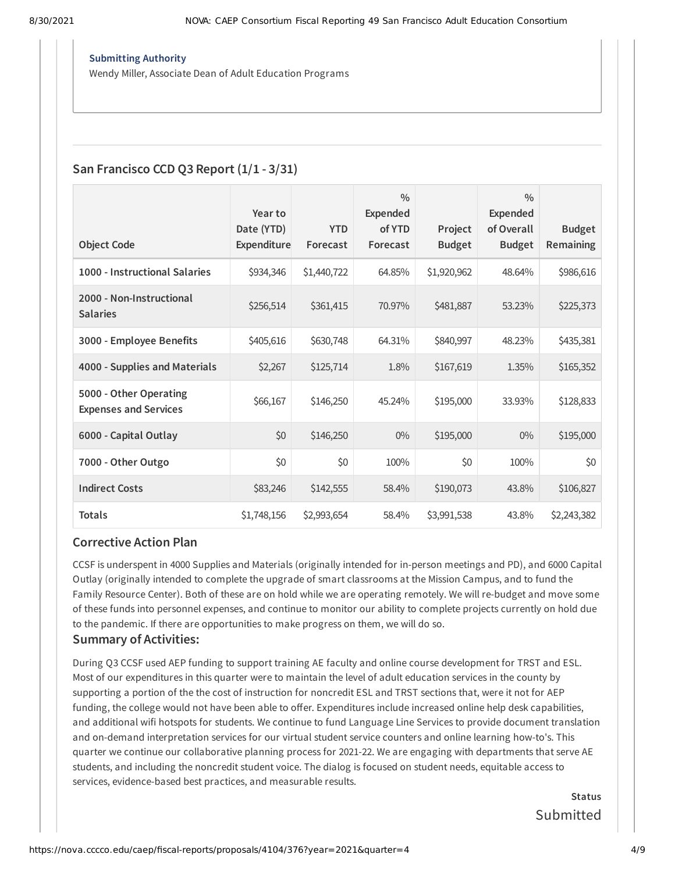#### **Submitting Authority**

Wendy Miller, Associate Dean of Adult Education Programs

## **San Francisco CCD Q3 Report (1/1 - 3/31)**

|                                                        | Year to                   |                        | $\frac{0}{0}$<br><b>Expended</b> |                          | $\frac{0}{0}$<br><b>Expended</b> |                            |
|--------------------------------------------------------|---------------------------|------------------------|----------------------------------|--------------------------|----------------------------------|----------------------------|
| <b>Object Code</b>                                     | Date (YTD)<br>Expenditure | <b>YTD</b><br>Forecast | of YTD<br>Forecast               | Project<br><b>Budget</b> | of Overall<br><b>Budget</b>      | <b>Budget</b><br>Remaining |
| 1000 - Instructional Salaries                          | \$934,346                 | \$1,440,722            | 64.85%                           | \$1,920,962              | 48.64%                           | \$986,616                  |
| 2000 - Non-Instructional<br><b>Salaries</b>            | \$256,514                 | \$361,415              | 70.97%                           | \$481,887                | 53.23%                           | \$225,373                  |
| 3000 - Employee Benefits                               | \$405,616                 | \$630,748              | 64.31%                           | \$840,997                | 48.23%                           | \$435,381                  |
| 4000 - Supplies and Materials                          | \$2,267                   | \$125,714              | 1.8%                             | \$167,619                | 1.35%                            | \$165,352                  |
| 5000 - Other Operating<br><b>Expenses and Services</b> | \$66,167                  | \$146,250              | 45.24%                           | \$195,000                | 33.93%                           | \$128,833                  |
| 6000 - Capital Outlay                                  | \$0                       | \$146,250              | $0\%$                            | \$195,000                | $0\%$                            | \$195,000                  |
| 7000 - Other Outgo                                     | \$0                       | \$0                    | 100%                             | \$0                      | 100%                             | \$0                        |
| <b>Indirect Costs</b>                                  | \$83,246                  | \$142,555              | 58.4%                            | \$190,073                | 43.8%                            | \$106,827                  |
| <b>Totals</b>                                          | \$1,748,156               | \$2,993,654            | 58.4%                            | \$3,991,538              | 43.8%                            | \$2,243,382                |

#### **Corrective Action Plan**

CCSF is underspent in 4000 Supplies and Materials (originally intended for in-person meetings and PD), and 6000 Capital Outlay (originally intended to complete the upgrade of smart classrooms at the Mission Campus, and to fund the Family Resource Center). Both of these are on hold while we are operating remotely. We will re-budget and move some of these funds into personnel expenses, and continue to monitor our ability to complete projects currently on hold due to the pandemic. If there are opportunities to make progress on them, we will do so.

#### **Summary of Activities:**

During Q3 CCSF used AEP funding to support training AE faculty and online course development for TRST and ESL. Most of our expenditures in this quarter were to maintain the level of adult education services in the county by supporting a portion of the the cost of instruction for noncredit ESL and TRST sections that, were it not for AEP funding, the college would not have been able to offer. Expenditures include increased online help desk capabilities, and additional wifi hotspots for students. We continue to fund Language Line Services to provide document translation and on-demand interpretation services for our virtual student service counters and online learning how-to's. This quarter we continue our collaborative planning process for 2021-22. We are engaging with departments that serve AE students, and including the noncredit student voice. The dialog is focused on student needs, equitable access to services, evidence-based best practices, and measurable results.

> **Status** Submitted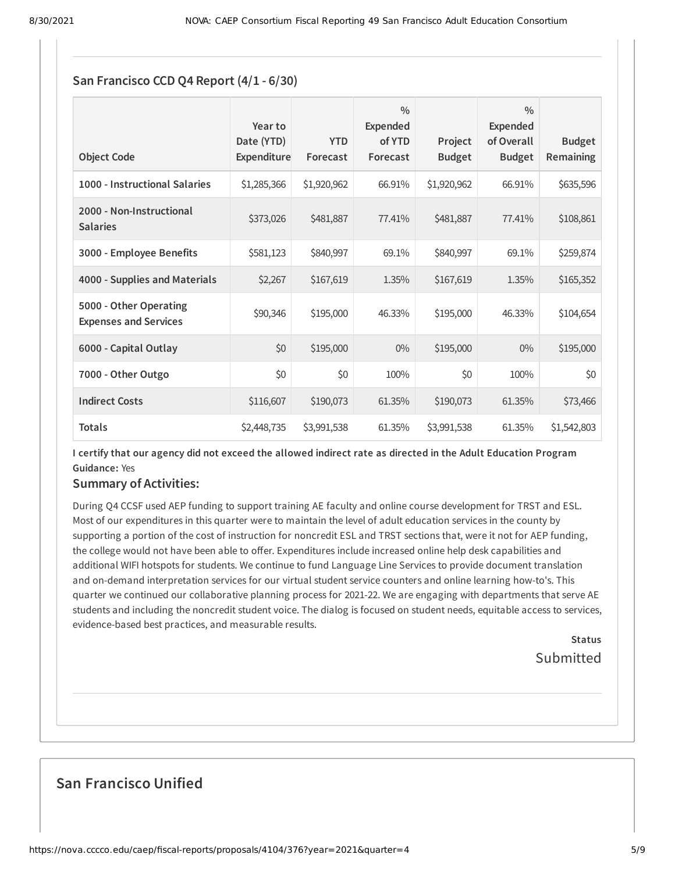# **San Francisco CCD Q4 Report (4/1 - 6/30)**

| <b>Object Code</b>                                     | Year to<br>Date (YTD)<br>Expenditure | <b>YTD</b><br>Forecast | $\frac{0}{0}$<br>Expended<br>of YTD<br>Forecast | Project<br><b>Budget</b> | $\frac{0}{0}$<br>Expended<br>of Overall<br><b>Budget</b> | <b>Budget</b><br><b>Remaining</b> |
|--------------------------------------------------------|--------------------------------------|------------------------|-------------------------------------------------|--------------------------|----------------------------------------------------------|-----------------------------------|
| 1000 - Instructional Salaries                          | \$1,285,366                          | \$1,920,962            | 66.91%                                          | \$1,920,962              | 66.91%                                                   | \$635,596                         |
| 2000 - Non-Instructional<br><b>Salaries</b>            | \$373,026                            | \$481,887              | 77.41%                                          | \$481,887                | 77.41%                                                   | \$108,861                         |
| 3000 - Employee Benefits                               | \$581,123                            | \$840,997              | 69.1%                                           | \$840,997                | 69.1%                                                    | \$259,874                         |
| 4000 - Supplies and Materials                          | \$2,267                              | \$167,619              | 1.35%                                           | \$167,619                | 1.35%                                                    | \$165,352                         |
| 5000 - Other Operating<br><b>Expenses and Services</b> | \$90,346                             | \$195,000              | 46.33%                                          | \$195,000                | 46.33%                                                   | \$104,654                         |
| 6000 - Capital Outlay                                  | \$0                                  | \$195,000              | $0\%$                                           | \$195,000                | $0\%$                                                    | \$195,000                         |
| 7000 - Other Outgo                                     | \$0                                  | \$0                    | 100%                                            | \$0                      | 100%                                                     | \$0                               |
| <b>Indirect Costs</b>                                  | \$116,607                            | \$190,073              | 61.35%                                          | \$190,073                | 61.35%                                                   | \$73,466                          |
| <b>Totals</b>                                          | \$2,448,735                          | \$3,991,538            | 61.35%                                          | \$3,991,538              | 61.35%                                                   | \$1,542,803                       |

I certify that our agency did not exceed the allowed indirect rate as directed in the Adult Education Program **Guidance:** Yes

## **Summary of Activities:**

During Q4 CCSF used AEP funding to support training AE faculty and online course development for TRST and ESL. Most of our expenditures in this quarter were to maintain the level of adult education services in the county by supporting a portion of the cost of instruction for noncredit ESL and TRST sections that, were it not for AEP funding, the college would not have been able to offer. Expenditures include increased online help desk capabilities and additional WIFI hotspots for students. We continue to fund Language Line Services to provide document translation and on-demand interpretation services for our virtual student service counters and online learning how-to's. This quarter we continued our collaborative planning process for 2021-22. We are engaging with departments that serve AE students and including the noncredit student voice. The dialog is focused on student needs, equitable access to services, evidence-based best practices, and measurable results.

> **Status** Submitted

# **San Francisco Unified**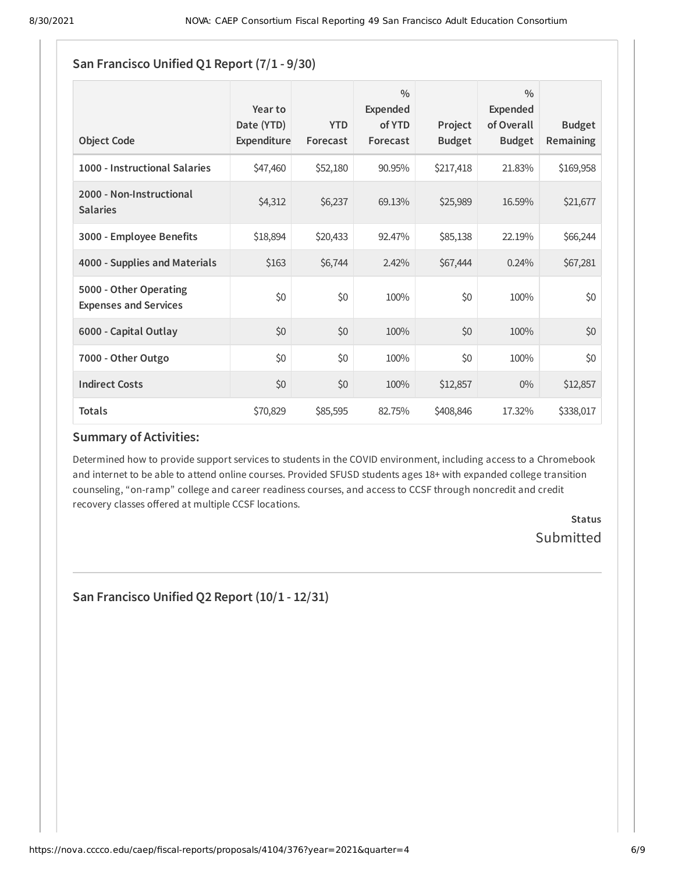| <b>Object Code</b>                                     | Year to<br>Date (YTD)<br>Expenditure | <b>YTD</b><br>Forecast | $\frac{0}{0}$<br>Expended<br>of YTD<br>Forecast | Project<br><b>Budget</b> | $\frac{0}{0}$<br><b>Expended</b><br>of Overall<br><b>Budget</b> | <b>Budget</b><br><b>Remaining</b> |
|--------------------------------------------------------|--------------------------------------|------------------------|-------------------------------------------------|--------------------------|-----------------------------------------------------------------|-----------------------------------|
| 1000 - Instructional Salaries                          | \$47,460                             | \$52,180               | 90.95%                                          | \$217,418                | 21.83%                                                          | \$169,958                         |
| 2000 - Non-Instructional<br><b>Salaries</b>            | \$4,312                              | \$6,237                | 69.13%                                          | \$25,989                 | 16.59%                                                          | \$21,677                          |
| 3000 - Employee Benefits                               | \$18,894                             | \$20,433               | 92.47%                                          | \$85,138                 | 22.19%                                                          | \$66,244                          |
| 4000 - Supplies and Materials                          | \$163                                | \$6,744                | 2.42%                                           | \$67,444                 | 0.24%                                                           | \$67,281                          |
| 5000 - Other Operating<br><b>Expenses and Services</b> | \$0                                  | \$0                    | 100%                                            | \$0                      | 100%                                                            | \$0                               |
| 6000 - Capital Outlay                                  | \$0                                  | \$0                    | 100%                                            | \$0                      | 100%                                                            | \$0                               |
| 7000 - Other Outgo                                     | \$0                                  | \$0                    | 100%                                            | \$0                      | 100%                                                            | \$0                               |
| <b>Indirect Costs</b>                                  | \$0                                  | \$0                    | 100%                                            | \$12,857                 | $0\%$                                                           | \$12,857                          |
| <b>Totals</b>                                          | \$70,829                             | \$85,595               | 82.75%                                          | \$408,846                | 17.32%                                                          | \$338,017                         |

## **Summary of Activities:**

Determined how to provide support services to students in the COVID environment, including access to a Chromebook and internet to be able to attend online courses. Provided SFUSD students ages 18+ with expanded college transition counseling, "on-ramp" college and career readiness courses, and access to CCSF through noncredit and credit recovery classes offered at multiple CCSF locations.

> **Status** Submitted

**San Francisco Unified Q2 Report (10/1 - 12/31)**

**San Francisco Unified Q1 Report (7/1 - 9/30)**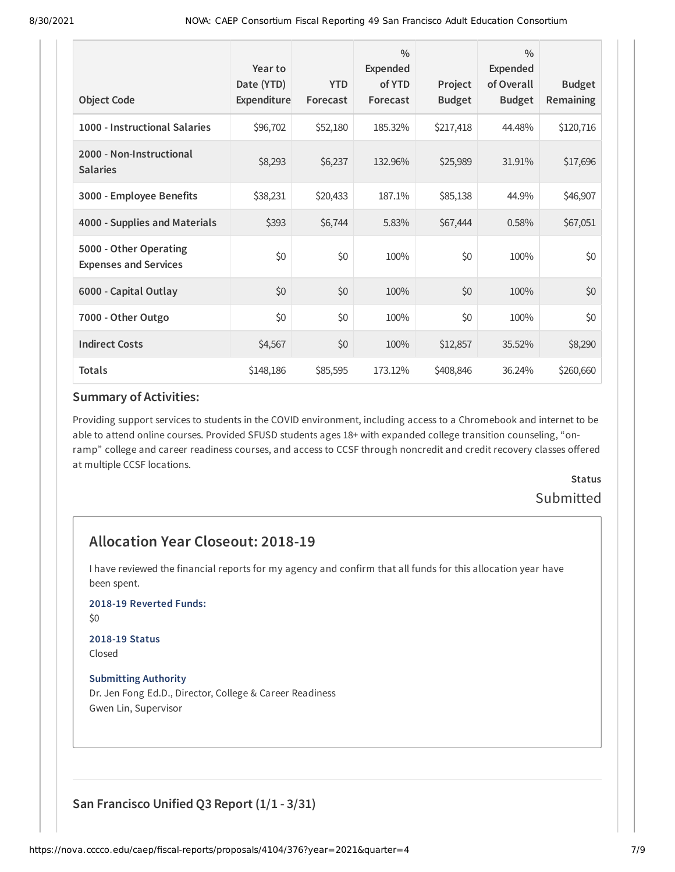| <b>Object Code</b>                                     | Year to<br>Date (YTD)<br>Expenditure | <b>YTD</b><br>Forecast | $\frac{0}{0}$<br>Expended<br>of YTD<br>Forecast | Project<br><b>Budget</b> | $\frac{0}{0}$<br><b>Expended</b><br>of Overall<br><b>Budget</b> | <b>Budget</b><br>Remaining |
|--------------------------------------------------------|--------------------------------------|------------------------|-------------------------------------------------|--------------------------|-----------------------------------------------------------------|----------------------------|
| 1000 - Instructional Salaries                          | \$96,702                             | \$52,180               | 185.32%                                         | \$217,418                | 44.48%                                                          | \$120,716                  |
| 2000 - Non-Instructional<br><b>Salaries</b>            | \$8,293                              | \$6,237                | 132.96%                                         | \$25,989                 | 31.91%                                                          | \$17,696                   |
| 3000 - Employee Benefits                               | \$38,231                             | \$20,433               | 187.1%                                          | \$85,138                 | 44.9%                                                           | \$46,907                   |
| 4000 - Supplies and Materials                          | \$393                                | \$6,744                | 5.83%                                           | \$67,444                 | 0.58%                                                           | \$67,051                   |
| 5000 - Other Operating<br><b>Expenses and Services</b> | \$0                                  | \$0                    | 100%                                            | \$0                      | 100%                                                            | \$0                        |
| 6000 - Capital Outlay                                  | \$0                                  | \$0                    | 100%                                            | \$0                      | 100%                                                            | \$0                        |
| 7000 - Other Outgo                                     | \$0                                  | \$0                    | 100%                                            | \$0                      | 100%                                                            | \$0                        |
| <b>Indirect Costs</b>                                  | \$4,567                              | \$0                    | 100%                                            | \$12,857                 | 35.52%                                                          | \$8,290                    |
| <b>Totals</b>                                          | \$148,186                            | \$85,595               | 173.12%                                         | \$408,846                | 36.24%                                                          | \$260,660                  |

#### **Summary of Activities:**

Providing support services to students in the COVID environment, including access to a Chromebook and internet to be able to attend online courses. Provided SFUSD students ages 18+ with expanded college transition counseling, "onramp" college and career readiness courses, and access to CCSF through noncredit and credit recovery classes offered at multiple CCSF locations.

> **Status** Submitted

# **Allocation Year Closeout: 2018-19**

I have reviewed the financial reports for my agency and confirm that all funds for this allocation year have been spent.

**2018-19 Reverted Funds:**

\$0

#### **2018-19 Status** Closed

## **Submitting Authority**

Dr. Jen Fong Ed.D., Director, College & Career Readiness Gwen Lin, Supervisor

# **San Francisco Unified Q3 Report (1/1 - 3/31)**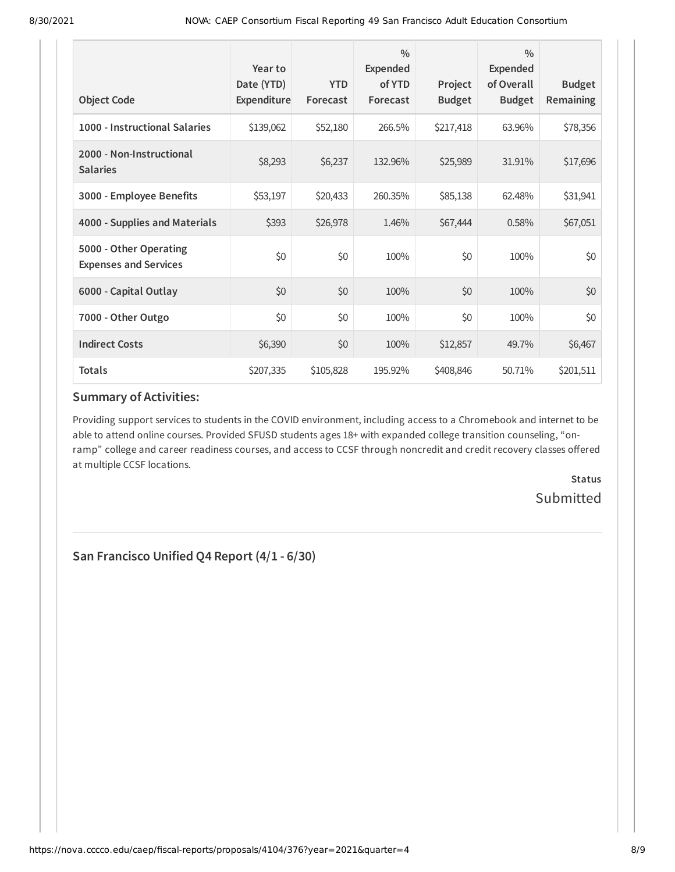| <b>Object Code</b>                                     | Year to<br>Date (YTD)<br>Expenditure | <b>YTD</b><br>Forecast | $\frac{0}{0}$<br>Expended<br>of YTD<br>Forecast | Project<br><b>Budget</b> | $\frac{0}{0}$<br><b>Expended</b><br>of Overall<br><b>Budget</b> | <b>Budget</b><br><b>Remaining</b> |
|--------------------------------------------------------|--------------------------------------|------------------------|-------------------------------------------------|--------------------------|-----------------------------------------------------------------|-----------------------------------|
| 1000 - Instructional Salaries                          | \$139,062                            | \$52,180               | 266.5%                                          | \$217,418                | 63.96%                                                          | \$78,356                          |
| 2000 - Non-Instructional<br><b>Salaries</b>            | \$8,293                              | \$6,237                | 132.96%                                         | \$25,989                 | 31.91%                                                          | \$17,696                          |
| 3000 - Employee Benefits                               | \$53,197                             | \$20,433               | 260.35%                                         | \$85,138                 | 62.48%                                                          | \$31,941                          |
| 4000 - Supplies and Materials                          | \$393                                | \$26,978               | 1.46%                                           | \$67,444                 | 0.58%                                                           | \$67,051                          |
| 5000 - Other Operating<br><b>Expenses and Services</b> | \$0                                  | \$0                    | 100%                                            | \$0                      | 100%                                                            | \$0                               |
| 6000 - Capital Outlay                                  | \$0                                  | \$0                    | 100%                                            | \$0                      | 100%                                                            | \$0                               |
| 7000 - Other Outgo                                     | \$0                                  | \$0                    | 100%                                            | \$0                      | 100%                                                            | \$0                               |
| <b>Indirect Costs</b>                                  | \$6,390                              | \$0                    | 100%                                            | \$12,857                 | 49.7%                                                           | \$6,467                           |
| <b>Totals</b>                                          | \$207,335                            | \$105,828              | 195.92%                                         | \$408,846                | 50.71%                                                          | \$201,511                         |

## **Summary of Activities:**

Providing support services to students in the COVID environment, including access to a Chromebook and internet to be able to attend online courses. Provided SFUSD students ages 18+ with expanded college transition counseling, "onramp" college and career readiness courses, and access to CCSF through noncredit and credit recovery classes offered at multiple CCSF locations.

> **Status Submitted**

**San Francisco Unified Q4 Report (4/1 - 6/30)**